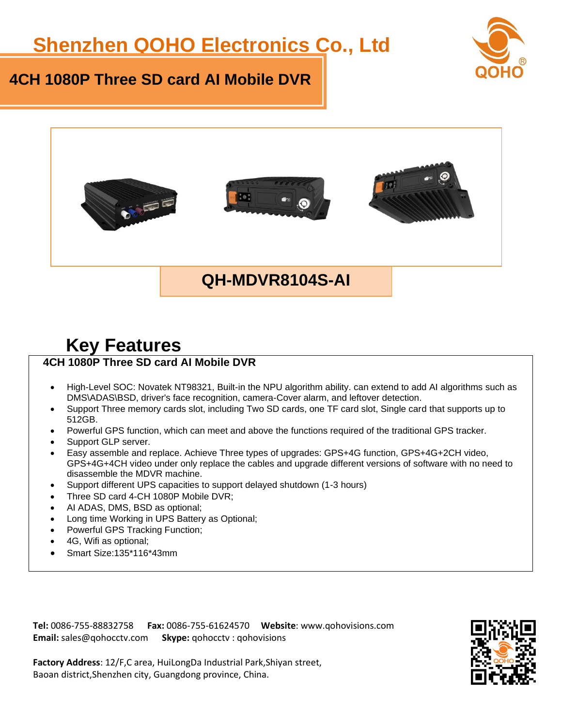# **Shenzhen QOHO Electronics Co., Ltd**







### **QH-MDVR8104S-AI**

## **Key Features**

#### **4CH 1080P Three SD card AI Mobile DVR**

- High-Level SOC: Novatek NT98321, Built-in the NPU algorithm ability. can extend to add AI algorithms such as DMS\ADAS\BSD, driver's face recognition, camera-Cover alarm, and leftover detection.
- Support Three memory cards slot, including Two SD cards, one TF card slot, Single card that supports up to 512GB.
- Powerful GPS function, which can meet and above the functions required of the traditional GPS tracker.
- Support GLP server.
- Easy assemble and replace. Achieve Three types of upgrades: GPS+4G function, GPS+4G+2CH video, GPS+4G+4CH video under only replace the cables and upgrade different versions of software with no need to disassemble the MDVR machine.
- Support different UPS capacities to support delayed shutdown (1-3 hours)
- Three SD card 4-CH 1080P Mobile DVR;
- AI ADAS, DMS, BSD as optional;
- Long time Working in UPS Battery as Optional;
- Powerful GPS Tracking Function;
- 4G, Wifi as optional;
- Smart Size:135\*116\*43mm

**Tel:** 0086-755-88832758 **Fax:** 0086-755-61624570 **Website**: www.qohovisions.com **Email:** sales@qohocctv.com **Skype:** qohocctv : qohovisions

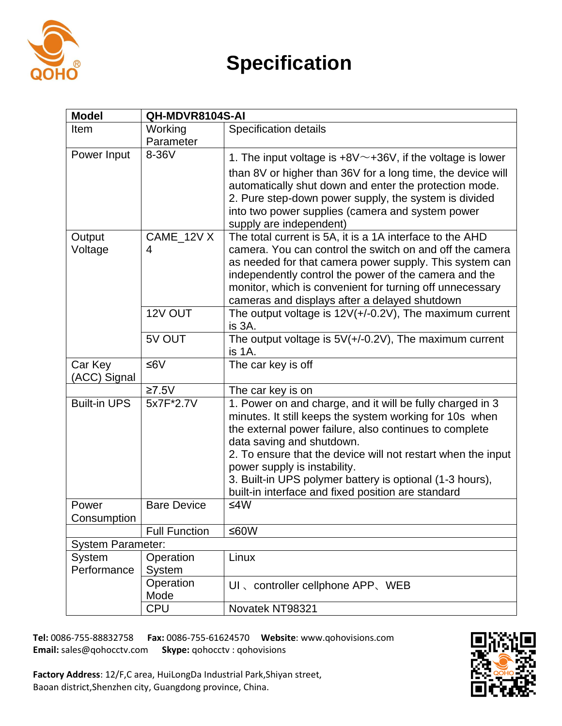

# **Specification**

| <b>Model</b>                 | QH-MDVR8104S-AI            |                                                                                                                                                                                                                                                                                                                                                                                                                               |  |  |  |
|------------------------------|----------------------------|-------------------------------------------------------------------------------------------------------------------------------------------------------------------------------------------------------------------------------------------------------------------------------------------------------------------------------------------------------------------------------------------------------------------------------|--|--|--|
| Item                         | Working                    | <b>Specification details</b>                                                                                                                                                                                                                                                                                                                                                                                                  |  |  |  |
|                              | Parameter                  |                                                                                                                                                                                                                                                                                                                                                                                                                               |  |  |  |
| Power Input                  | 8-36V                      | 1. The input voltage is $+8V^{\sim}+36V$ , if the voltage is lower                                                                                                                                                                                                                                                                                                                                                            |  |  |  |
|                              |                            | than 8V or higher than 36V for a long time, the device will<br>automatically shut down and enter the protection mode.<br>2. Pure step-down power supply, the system is divided<br>into two power supplies (camera and system power<br>supply are independent)                                                                                                                                                                 |  |  |  |
| Output                       | CAME_12V X                 | The total current is 5A, it is a 1A interface to the AHD                                                                                                                                                                                                                                                                                                                                                                      |  |  |  |
| Voltage                      | 4                          | camera. You can control the switch on and off the camera<br>as needed for that camera power supply. This system can<br>independently control the power of the camera and the<br>monitor, which is convenient for turning off unnecessary<br>cameras and displays after a delayed shutdown                                                                                                                                     |  |  |  |
|                              | 12V OUT                    | The output voltage is $12V(+/-0.2V)$ , The maximum current<br>is 3A.                                                                                                                                                                                                                                                                                                                                                          |  |  |  |
|                              | 5V OUT                     | The output voltage is $5V(+/-0.2V)$ , The maximum current<br>is 1A.                                                                                                                                                                                                                                                                                                                                                           |  |  |  |
| Car Key<br>(ACC) Signal      | ≤6 $V$                     | The car key is off                                                                                                                                                                                                                                                                                                                                                                                                            |  |  |  |
|                              | $≥7.5V$                    | The car key is on                                                                                                                                                                                                                                                                                                                                                                                                             |  |  |  |
| <b>Built-in UPS</b>          | 5x7F*2.7V                  | 1. Power on and charge, and it will be fully charged in 3<br>minutes. It still keeps the system working for 10s when<br>the external power failure, also continues to complete<br>data saving and shutdown.<br>2. To ensure that the device will not restart when the input<br>power supply is instability.<br>3. Built-in UPS polymer battery is optional (1-3 hours),<br>built-in interface and fixed position are standard |  |  |  |
| Power<br>Consumption         | <b>Bare Device</b>         | ≤4 $W$                                                                                                                                                                                                                                                                                                                                                                                                                        |  |  |  |
|                              | <b>Full Function</b>       | ≤60W                                                                                                                                                                                                                                                                                                                                                                                                                          |  |  |  |
| <b>System Parameter:</b>     |                            |                                                                                                                                                                                                                                                                                                                                                                                                                               |  |  |  |
| <b>System</b><br>Performance | Operation<br><b>System</b> | Linux                                                                                                                                                                                                                                                                                                                                                                                                                         |  |  |  |
|                              | Operation<br>Mode          | UI, controller cellphone APP, WEB                                                                                                                                                                                                                                                                                                                                                                                             |  |  |  |
|                              | <b>CPU</b>                 | Novatek NT98321                                                                                                                                                                                                                                                                                                                                                                                                               |  |  |  |

**Tel:** 0086-755-88832758 **Fax:** 0086-755-61624570 **Website**: www.qohovisions.com **Email:** sales@qohocctv.com **Skype:** qohocctv : qohovisions

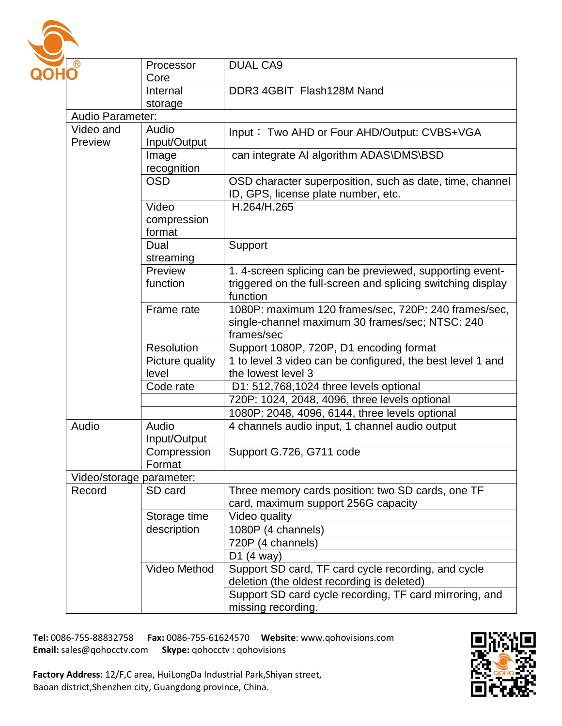

| ®                        | Processor       | <b>DUAL CA9</b>                                             |  |  |
|--------------------------|-----------------|-------------------------------------------------------------|--|--|
|                          | Core            |                                                             |  |  |
|                          | Internal        | DDR3 4GBIT Flash128M Nand                                   |  |  |
|                          | storage         |                                                             |  |  |
| Audio Parameter:         |                 |                                                             |  |  |
| Video and                | Audio           | Input: Two AHD or Four AHD/Output: CVBS+VGA                 |  |  |
| Preview                  | Input/Output    |                                                             |  |  |
|                          | Image           | can integrate AI algorithm ADAS\DMS\BSD                     |  |  |
|                          | recognition     |                                                             |  |  |
|                          | <b>OSD</b>      | OSD character superposition, such as date, time, channel    |  |  |
|                          |                 | ID, GPS, license plate number, etc.                         |  |  |
|                          | Video           | H.264/H.265                                                 |  |  |
|                          | compression     |                                                             |  |  |
|                          | format          |                                                             |  |  |
|                          | Dual            | Support                                                     |  |  |
|                          | streaming       |                                                             |  |  |
|                          | Preview         | 1. 4-screen splicing can be previewed, supporting event-    |  |  |
|                          | function        | triggered on the full-screen and splicing switching display |  |  |
|                          |                 | function                                                    |  |  |
|                          | Frame rate      | 1080P: maximum 120 frames/sec, 720P: 240 frames/sec,        |  |  |
|                          |                 | single-channel maximum 30 frames/sec; NTSC: 240             |  |  |
|                          |                 | frames/sec                                                  |  |  |
|                          | Resolution      | Support 1080P, 720P, D1 encoding format                     |  |  |
|                          | Picture quality | 1 to level 3 video can be configured, the best level 1 and  |  |  |
|                          | level           | the lowest level 3                                          |  |  |
|                          | Code rate       | D1: 512,768,1024 three levels optional                      |  |  |
|                          |                 | 720P: 1024, 2048, 4096, three levels optional               |  |  |
|                          |                 | 1080P: 2048, 4096, 6144, three levels optional              |  |  |
| Audio                    | Audio           | 4 channels audio input, 1 channel audio output              |  |  |
|                          | Input/Output    |                                                             |  |  |
|                          | Compression     | Support G.726, G711 code                                    |  |  |
|                          | Format          |                                                             |  |  |
| Video/storage parameter: |                 |                                                             |  |  |
| Record                   | SD card         | Three memory cards position: two SD cards, one TF           |  |  |
|                          |                 | card, maximum support 256G capacity                         |  |  |
|                          | Storage time    | Video quality                                               |  |  |
|                          | description     | 1080P (4 channels)                                          |  |  |
|                          |                 | 720P (4 channels)                                           |  |  |
|                          |                 | D <sub>1</sub> $(4$ way $)$                                 |  |  |
|                          | Video Method    | Support SD card, TF card cycle recording, and cycle         |  |  |
|                          |                 | deletion (the oldest recording is deleted)                  |  |  |
|                          |                 | Support SD card cycle recording, TF card mirroring, and     |  |  |
|                          |                 | missing recording.                                          |  |  |

**Tel:** 0086-755-88832758 **Fax:** 0086-755-61624570 **Website**: www.qohovisions.com **Skype:** qohocctv: qohovisions

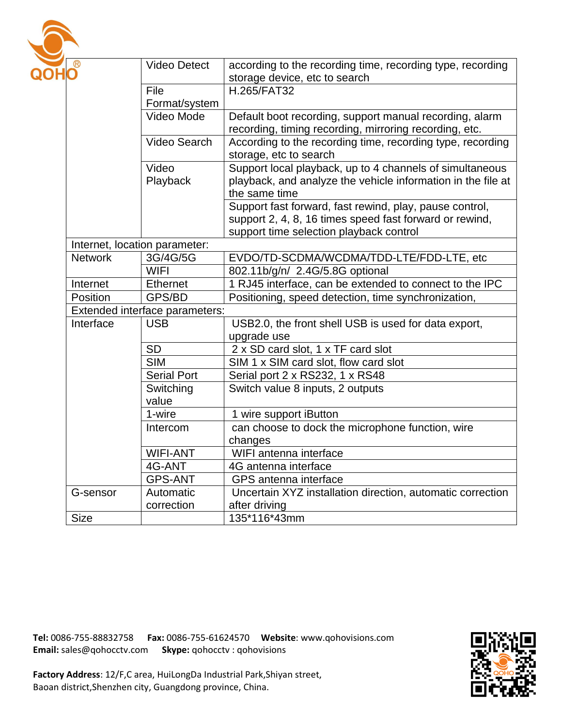

| $\mathbf{O}^{\circledR}$       | <b>Video Detect</b>     | according to the recording time, recording type, recording   |  |
|--------------------------------|-------------------------|--------------------------------------------------------------|--|
|                                |                         | storage device, etc to search                                |  |
|                                | File                    | H.265/FAT32                                                  |  |
|                                | Format/system           |                                                              |  |
|                                | Video Mode              | Default boot recording, support manual recording, alarm      |  |
|                                |                         | recording, timing recording, mirroring recording, etc.       |  |
|                                | Video Search            | According to the recording time, recording type, recording   |  |
|                                |                         | storage, etc to search                                       |  |
|                                | Video                   | Support local playback, up to 4 channels of simultaneous     |  |
|                                | Playback                | playback, and analyze the vehicle information in the file at |  |
|                                |                         | the same time                                                |  |
|                                |                         | Support fast forward, fast rewind, play, pause control,      |  |
|                                |                         | support 2, 4, 8, 16 times speed fast forward or rewind,      |  |
|                                |                         | support time selection playback control                      |  |
| Internet, location parameter:  |                         |                                                              |  |
| <b>Network</b>                 | 3G/4G/5G                | EVDO/TD-SCDMA/WCDMA/TDD-LTE/FDD-LTE, etc                     |  |
|                                | <b>WIFI</b>             | 802.11b/g/n/ 2.4G/5.8G optional                              |  |
| Internet                       | <b>Ethernet</b>         | 1 RJ45 interface, can be extended to connect to the IPC      |  |
| Position                       | GPS/BD                  | Positioning, speed detection, time synchronization,          |  |
| Extended interface parameters: |                         |                                                              |  |
| Interface                      | <b>USB</b>              | USB2.0, the front shell USB is used for data export,         |  |
|                                |                         | upgrade use                                                  |  |
|                                | <b>SD</b>               | 2 x SD card slot, 1 x TF card slot                           |  |
|                                | $\overline{\text{SIM}}$ | SIM 1 x SIM card slot, flow card slot                        |  |
|                                | <b>Serial Port</b>      | Serial port 2 x RS232, 1 x RS48                              |  |
|                                | Switching               | Switch value 8 inputs, 2 outputs                             |  |
|                                | value                   |                                                              |  |
|                                | 1-wire                  | 1 wire support iButton                                       |  |
|                                | Intercom                | can choose to dock the microphone function, wire             |  |
|                                |                         | changes                                                      |  |
|                                | <b>WIFI-ANT</b>         | WIFI antenna interface                                       |  |
|                                | 4G-ANT                  | 4G antenna interface                                         |  |
|                                | <b>GPS-ANT</b>          | GPS antenna interface                                        |  |
| G-sensor                       | Automatic               | Uncertain XYZ installation direction, automatic correction   |  |
|                                | correction              | after driving                                                |  |
| <b>Size</b>                    |                         | 135*116*43mm                                                 |  |

**Tel:** 0086-755-88832758 **Fax:** 0086-755-61624570 **Website**: www.qohovisions.com **Skype:** qohocctv: qohovisions